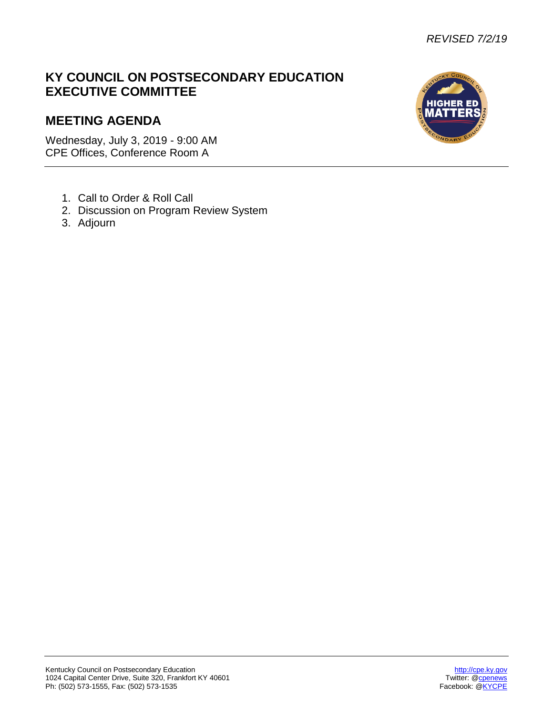## **KY COUNCIL ON POSTSECONDARY EDUCATION EXECUTIVE COMMITTEE**

# **MEETING AGENDA**

Wednesday, July 3, 2019 - 9:00 AM CPE Offices, Conference Room A

- 1. Call to Order & Roll Call
- 2. Discussion on Program Review System
- 3. Adjourn

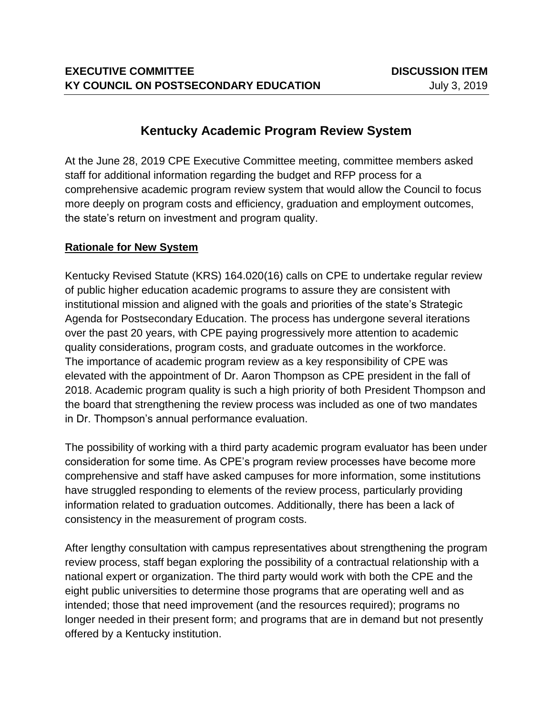## **Kentucky Academic Program Review System**

At the June 28, 2019 CPE Executive Committee meeting, committee members asked staff for additional information regarding the budget and RFP process for a comprehensive academic program review system that would allow the Council to focus more deeply on program costs and efficiency, graduation and employment outcomes, the state's return on investment and program quality.

## **Rationale for New System**

Kentucky Revised Statute (KRS) 164.020(16) calls on CPE to undertake regular review of public higher education academic programs to assure they are consistent with institutional mission and aligned with the goals and priorities of the state's Strategic Agenda for Postsecondary Education. The process has undergone several iterations over the past 20 years, with CPE paying progressively more attention to academic quality considerations, program costs, and graduate outcomes in the workforce. The importance of academic program review as a key responsibility of CPE was elevated with the appointment of Dr. Aaron Thompson as CPE president in the fall of 2018. Academic program quality is such a high priority of both President Thompson and the board that strengthening the review process was included as one of two mandates in Dr. Thompson's annual performance evaluation.

The possibility of working with a third party academic program evaluator has been under consideration for some time. As CPE's program review processes have become more comprehensive and staff have asked campuses for more information, some institutions have struggled responding to elements of the review process, particularly providing information related to graduation outcomes. Additionally, there has been a lack of consistency in the measurement of program costs.

After lengthy consultation with campus representatives about strengthening the program review process, staff began exploring the possibility of a contractual relationship with a national expert or organization. The third party would work with both the CPE and the eight public universities to determine those programs that are operating well and as intended; those that need improvement (and the resources required); programs no longer needed in their present form; and programs that are in demand but not presently offered by a Kentucky institution.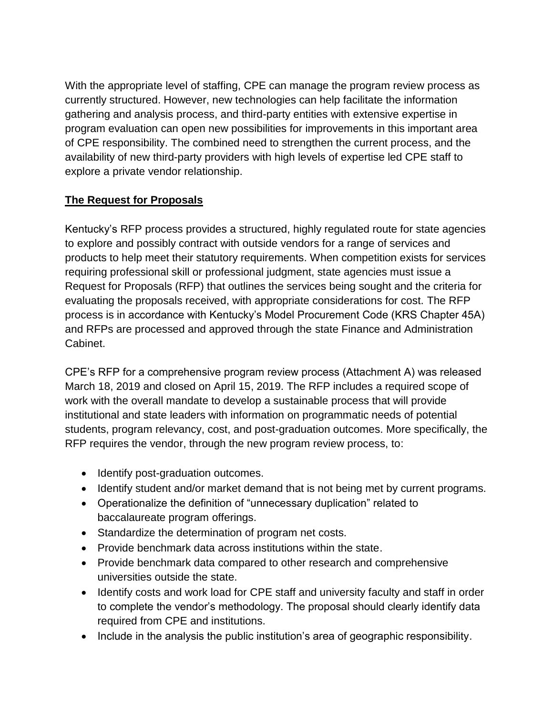With the appropriate level of staffing, CPE can manage the program review process as currently structured. However, new technologies can help facilitate the information gathering and analysis process, and third-party entities with extensive expertise in program evaluation can open new possibilities for improvements in this important area of CPE responsibility. The combined need to strengthen the current process, and the availability of new third-party providers with high levels of expertise led CPE staff to explore a private vendor relationship.

## **The Request for Proposals**

Kentucky's RFP process provides a structured, highly regulated route for state agencies to explore and possibly contract with outside vendors for a range of services and products to help meet their statutory requirements. When competition exists for services requiring professional skill or professional judgment, state agencies must issue a Request for Proposals (RFP) that outlines the services being sought and the criteria for evaluating the proposals received, with appropriate considerations for cost. The RFP process is in accordance with Kentucky's Model Procurement Code (KRS Chapter 45A) and RFPs are processed and approved through the state Finance and Administration Cabinet.

CPE's RFP for a comprehensive program review process (Attachment A) was released March 18, 2019 and closed on April 15, 2019. The RFP includes a required scope of work with the overall mandate to develop a sustainable process that will provide institutional and state leaders with information on programmatic needs of potential students, program relevancy, cost, and post-graduation outcomes. More specifically, the RFP requires the vendor, through the new program review process, to:

- Identify post-graduation outcomes.
- Identify student and/or market demand that is not being met by current programs.
- Operationalize the definition of "unnecessary duplication" related to baccalaureate program offerings.
- Standardize the determination of program net costs.
- Provide benchmark data across institutions within the state.
- Provide benchmark data compared to other research and comprehensive universities outside the state.
- Identify costs and work load for CPE staff and university faculty and staff in order to complete the vendor's methodology. The proposal should clearly identify data required from CPE and institutions.
- Include in the analysis the public institution's area of geographic responsibility.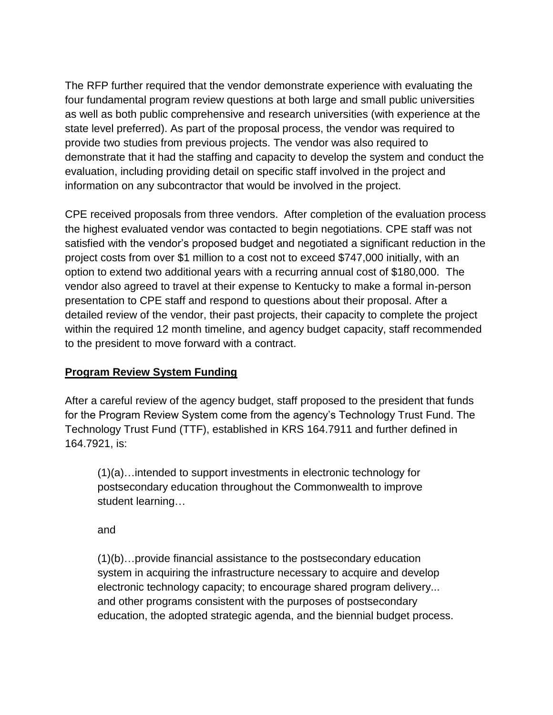The RFP further required that the vendor demonstrate experience with evaluating the four fundamental program review questions at both large and small public universities as well as both public comprehensive and research universities (with experience at the state level preferred). As part of the proposal process, the vendor was required to provide two studies from previous projects. The vendor was also required to demonstrate that it had the staffing and capacity to develop the system and conduct the evaluation, including providing detail on specific staff involved in the project and information on any subcontractor that would be involved in the project.

CPE received proposals from three vendors. After completion of the evaluation process the highest evaluated vendor was contacted to begin negotiations. CPE staff was not satisfied with the vendor's proposed budget and negotiated a significant reduction in the project costs from over \$1 million to a cost not to exceed \$747,000 initially, with an option to extend two additional years with a recurring annual cost of \$180,000. The vendor also agreed to travel at their expense to Kentucky to make a formal in-person presentation to CPE staff and respond to questions about their proposal. After a detailed review of the vendor, their past projects, their capacity to complete the project within the required 12 month timeline, and agency budget capacity, staff recommended to the president to move forward with a contract.

## **Program Review System Funding**

After a careful review of the agency budget, staff proposed to the president that funds for the Program Review System come from the agency's Technology Trust Fund. The Technology Trust Fund (TTF), established in KRS 164.7911 and further defined in 164.7921, is:

(1)(a)…intended to support investments in electronic technology for postsecondary education throughout the Commonwealth to improve student learning…

and

(1)(b)…provide financial assistance to the postsecondary education system in acquiring the infrastructure necessary to acquire and develop electronic technology capacity; to encourage shared program delivery... and other programs consistent with the purposes of postsecondary education, the adopted strategic agenda, and the biennial budget process.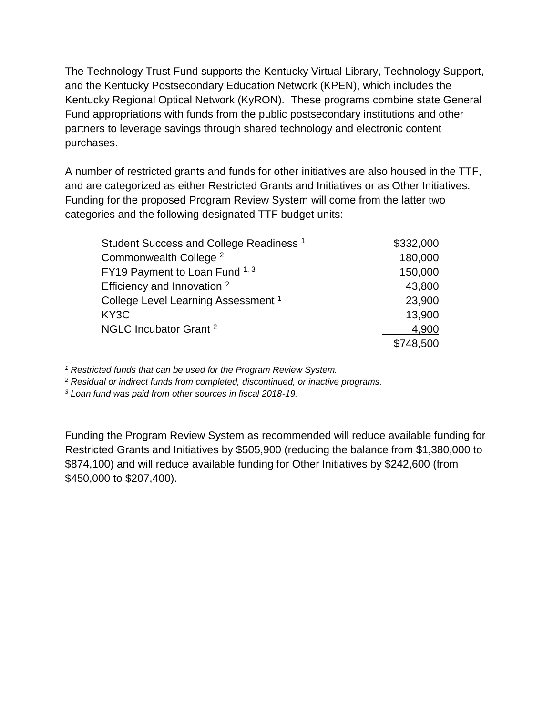The Technology Trust Fund supports the Kentucky Virtual Library, Technology Support, and the Kentucky Postsecondary Education Network (KPEN), which includes the Kentucky Regional Optical Network (KyRON). These programs combine state General Fund appropriations with funds from the public postsecondary institutions and other partners to leverage savings through shared technology and electronic content purchases.

A number of restricted grants and funds for other initiatives are also housed in the TTF, and are categorized as either Restricted Grants and Initiatives or as Other Initiatives. Funding for the proposed Program Review System will come from the latter two categories and the following designated TTF budget units:

| Student Success and College Readiness <sup>1</sup> | \$332,000 |
|----------------------------------------------------|-----------|
| Commonwealth College <sup>2</sup>                  | 180,000   |
| FY19 Payment to Loan Fund 1, 3                     | 150,000   |
| Efficiency and Innovation <sup>2</sup>             | 43,800    |
| College Level Learning Assessment <sup>1</sup>     | 23,900    |
| KY3C                                               | 13,900    |
| NGLC Incubator Grant <sup>2</sup>                  | 4,900     |
|                                                    | \$748,500 |

*<sup>1</sup> Restricted funds that can be used for the Program Review System.*

*<sup>2</sup> Residual or indirect funds from completed, discontinued, or inactive programs.*

*<sup>3</sup> Loan fund was paid from other sources in fiscal 2018-19.*

Funding the Program Review System as recommended will reduce available funding for Restricted Grants and Initiatives by \$505,900 (reducing the balance from \$1,380,000 to \$874,100) and will reduce available funding for Other Initiatives by \$242,600 (from \$450,000 to \$207,400).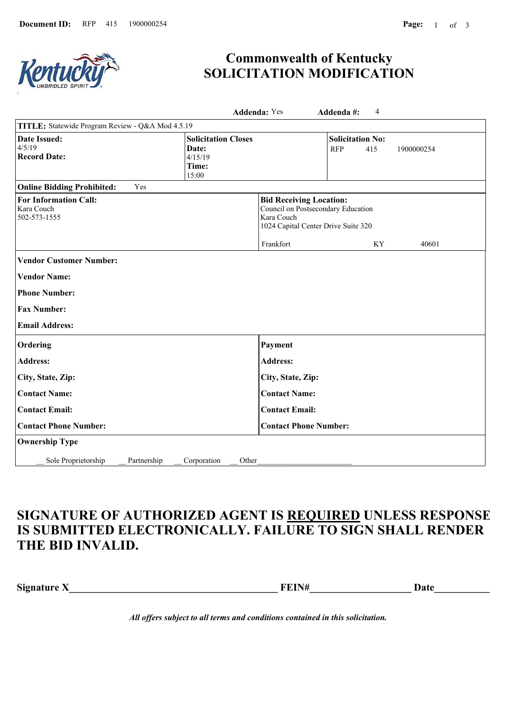

# **Commonwealth of Kentucky SOLICITATION MODIFICATION**

|                                                            |                                                                  | <b>Addenda: Yes</b>                                                                                                                    | Addenda#:                             | 4   |            |
|------------------------------------------------------------|------------------------------------------------------------------|----------------------------------------------------------------------------------------------------------------------------------------|---------------------------------------|-----|------------|
| TITLE: Statewide Program Review - Q&A Mod 4.5.19           |                                                                  |                                                                                                                                        |                                       |     |            |
| Date Issued:<br>4/5/19<br><b>Record Date:</b>              | <b>Solicitation Closes</b><br>Date:<br>4/15/19<br>Time:<br>15:00 |                                                                                                                                        | <b>Solicitation No:</b><br><b>RFP</b> | 415 | 1900000254 |
| Yes<br><b>Online Bidding Prohibited:</b>                   |                                                                  |                                                                                                                                        |                                       |     |            |
| <b>For Information Call:</b><br>Kara Couch<br>502-573-1555 |                                                                  | <b>Bid Receiving Location:</b><br>Council on Postsecondary Education<br>Kara Couch<br>1024 Capital Center Drive Suite 320<br>Frankfort |                                       | KY  | 40601      |
| <b>Vendor Customer Number:</b>                             |                                                                  |                                                                                                                                        |                                       |     |            |
| <b>Vendor Name:</b>                                        |                                                                  |                                                                                                                                        |                                       |     |            |
| <b>Phone Number:</b>                                       |                                                                  |                                                                                                                                        |                                       |     |            |
| <b>Fax Number:</b>                                         |                                                                  |                                                                                                                                        |                                       |     |            |
| <b>Email Address:</b>                                      |                                                                  |                                                                                                                                        |                                       |     |            |
| Ordering                                                   |                                                                  | Payment                                                                                                                                |                                       |     |            |
| <b>Address:</b>                                            |                                                                  | <b>Address:</b>                                                                                                                        |                                       |     |            |
| City, State, Zip:                                          |                                                                  | City, State, Zip:                                                                                                                      |                                       |     |            |
| <b>Contact Name:</b>                                       |                                                                  | <b>Contact Name:</b>                                                                                                                   |                                       |     |            |
| <b>Contact Email:</b>                                      |                                                                  | <b>Contact Email:</b>                                                                                                                  |                                       |     |            |
| <b>Contact Phone Number:</b>                               |                                                                  | <b>Contact Phone Number:</b>                                                                                                           |                                       |     |            |
| <b>Ownership Type</b>                                      |                                                                  |                                                                                                                                        |                                       |     |            |
| Sole Proprietorship<br>Partnership                         | Corporation<br>Other                                             |                                                                                                                                        |                                       |     |            |

# **SIGNATURE OF AUTHORIZED AGENT IS REQUIRED UNLESS RESPONSE IS SUBMITTED ELECTRONICALLY. FAILURE TO SIGN SHALL RENDER THE BID INVALID.**

**Signature X\_\_\_\_\_\_\_\_\_\_\_\_\_\_\_\_\_\_\_\_\_\_\_\_\_\_\_\_\_\_\_\_\_\_\_\_\_\_\_\_\_ FEIN#\_\_\_\_\_\_\_\_\_\_\_\_\_\_\_\_\_\_\_\_ Date\_\_\_\_\_\_\_\_\_\_\_\_**

*All offers subject to all terms and conditions contained in this solicitation.*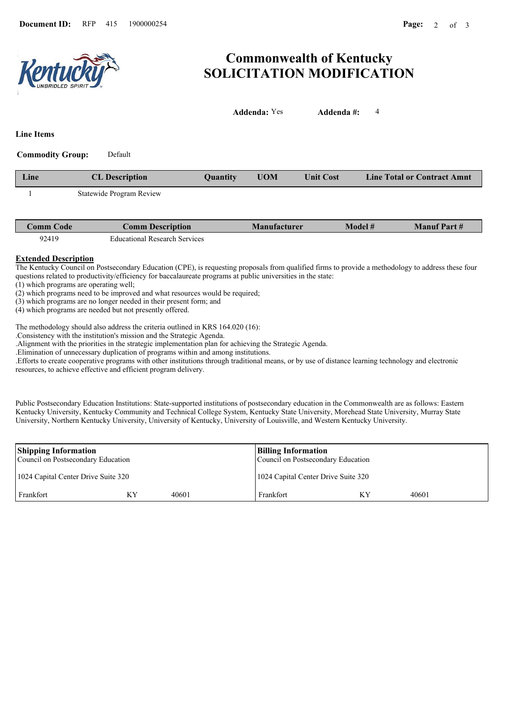

# **Commonwealth of Kentucky SOLICITATION MODIFICATION**

|                         |                          |          | <b>Addenda:</b> Yes | Addenda#:        | 4                                  |
|-------------------------|--------------------------|----------|---------------------|------------------|------------------------------------|
| <b>Line Items</b>       |                          |          |                     |                  |                                    |
| <b>Commodity Group:</b> | Default                  |          |                     |                  |                                    |
| Line                    | <b>CL</b> Description    | Quantity | <b>UOM</b>          | <b>Unit Cost</b> | <b>Line Total or Contract Amnt</b> |
|                         | Statewide Program Review |          |                     |                  |                                    |
|                         |                          |          |                     |                  |                                    |

| Comm Code | Comm Description                     | <b>Manufacturer</b> | Model # | <b>Manuf Part#</b> |
|-----------|--------------------------------------|---------------------|---------|--------------------|
| 92419     | <b>Educational Research Services</b> |                     |         |                    |

#### **Extended Description**

The Kentucky Council on Postsecondary Education (CPE), is requesting proposals from qualified firms to provide a methodology to address these four questions related to productivity/efficiency for baccalaureate programs at public universities in the state:

(1) which programs are operating well;

(2) which programs need to be improved and what resources would be required;

(3) which programs are no longer needed in their present form; and

(4) which programs are needed but not presently offered.

The methodology should also address the criteria outlined in KRS 164.020 (16):

.Consistency with the institution's mission and the Strategic Agenda.

.Alignment with the priorities in the strategic implementation plan for achieving the Strategic Agenda.

.Elimination of unnecessary duplication of programs within and among institutions.

.Efforts to create cooperative programs with other institutions through traditional means, or by use of distance learning technology and electronic resources, to achieve effective and efficient program delivery.

Public Postsecondary Education Institutions: State-supported institutions of postsecondary education in the Commonwealth are as follows: Eastern Kentucky University, Kentucky Community and Technical College System, Kentucky State University, Morehead State University, Murray State University, Northern Kentucky University, University of Kentucky, University of Louisville, and Western Kentucky University.

| <b>Shipping Information</b><br>Council on Postsecondary Education |    |       | <b>Billing Information</b><br>Council on Postsecondary Education |       |
|-------------------------------------------------------------------|----|-------|------------------------------------------------------------------|-------|
| 1024 Capital Center Drive Suite 320                               |    |       | 1024 Capital Center Drive Suite 320                              |       |
| Frankfort                                                         | ΚY | 40601 | Frankfort                                                        | 40601 |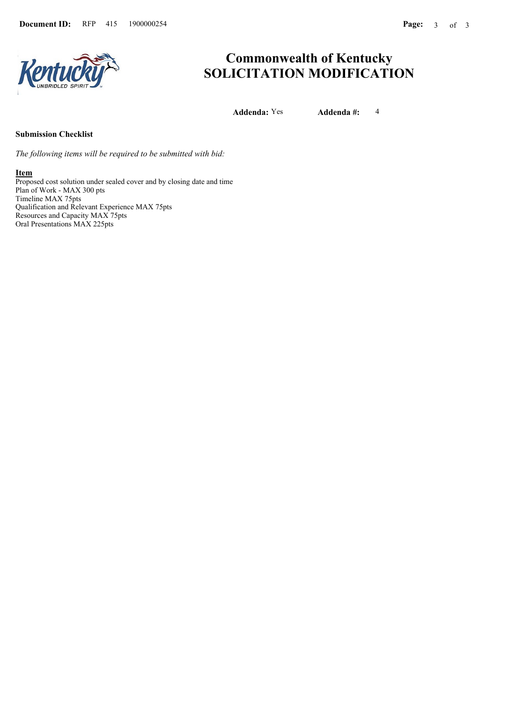

# **Commonwealth of Kentucky SOLICITATION MODIFICATION**

**Addenda:** Yes **Addenda #:** 4

## **Submission Checklist**

*The following items will be required to be submitted with bid:*

#### **Item**

Proposed cost solution under sealed cover and by closing date and time Plan of Work - MAX 300 pts Timeline MAX 75pts Qualification and Relevant Experience MAX 75pts Resources and Capacity MAX 75pts Oral Presentations MAX 225pts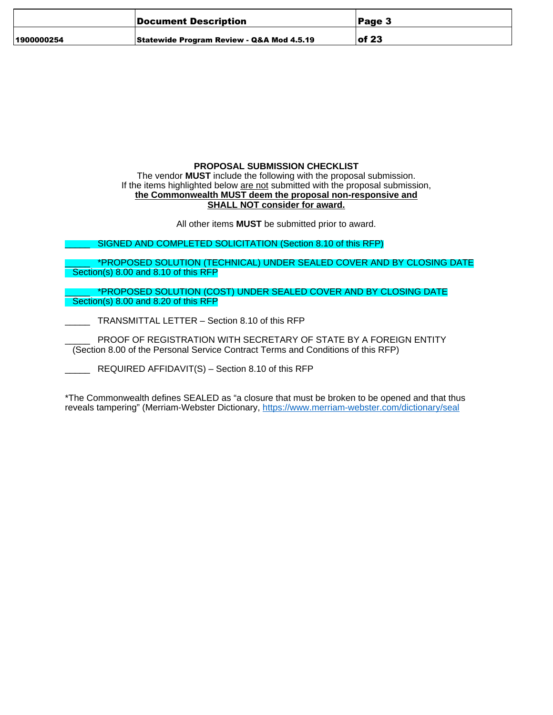|            | Document Description                                 | Page 3    |
|------------|------------------------------------------------------|-----------|
| 1900000254 | <b>Statewide Program Review - Q&amp;A Mod 4.5.19</b> | $ $ of 23 |

## **PROPOSAL SUBMISSION CHECKLIST**

The vendor **MUST** include the following with the proposal submission. If the items highlighted below are not submitted with the proposal submission, **the Commonwealth MUST deem the proposal non-responsive and SHALL NOT consider for award.**

All other items **MUST** be submitted prior to award.

SIGNED AND COMPLETED SOLICITATION (Section 8.10 of this RFP)

\*PROPOSED SOLUTION (TECHNICAL) UNDER SEALED COVER AND BY CLOSING DATE Section(s) 8.00 and 8.10 of this RFP

PROPOSED SOLUTION (COST) UNDER SEALED COVER AND BY CLOSING DATE Section(s) 8.00 and 8.20 of this RFP

TRANSMITTAL LETTER – Section 8.10 of this RFP

PROOF OF REGISTRATION WITH SECRETARY OF STATE BY A FOREIGN ENTITY (Section 8.00 of the Personal Service Contract Terms and Conditions of this RFP)

REQUIRED AFFIDAVIT(S) – Section 8.10 of this RFP

\*The Commonwealth defines SEALED as "a closure that must be broken to be opened and that thus reveals tampering" (Merriam-Webster Dictionary, <https://www.merriam-webster.com/dictionary/seal>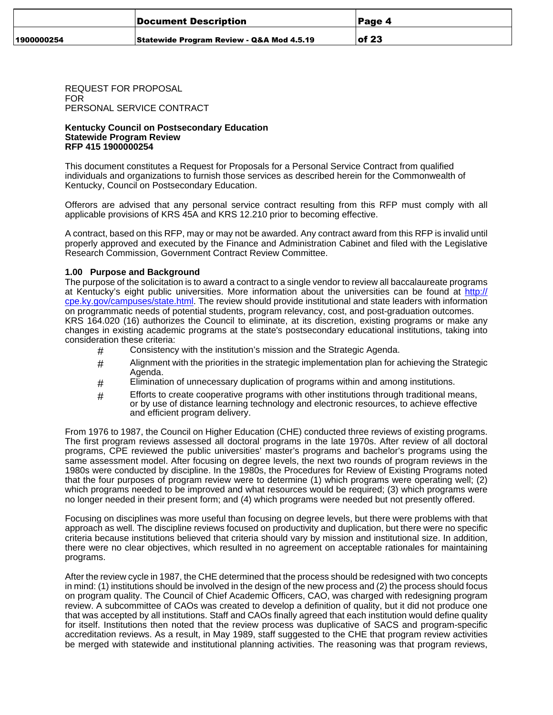|            | Document Description                                 | <b>Page 4</b> |
|------------|------------------------------------------------------|---------------|
| 1900000254 | <b>Statewide Program Review - Q&amp;A Mod 4.5.19</b> | $ $ of 23     |

REQUEST FOR PROPOSAL FOR PERSONAL SERVICE CONTRACT

#### **Kentucky Council on Postsecondary Education Statewide Program Review RFP 415 1900000254**

This document constitutes a Request for Proposals for a Personal Service Contract from qualified individuals and organizations to furnish those services as described herein for the Commonwealth of Kentucky, Council on Postsecondary Education.

Offerors are advised that any personal service contract resulting from this RFP must comply with all applicable provisions of KRS 45A and KRS 12.210 prior to becoming effective.

A contract, based on this RFP, may or may not be awarded. Any contract award from this RFP is invalid until properly approved and executed by the Finance and Administration Cabinet and filed with the Legislative Research Commission, Government Contract Review Committee.

#### **1.00 Purpose and Background**

The purpose of the solicitation is to award a contract to a single vendor to review all baccalaureate programs at Kentucky's eight public universities. More information about the universities can be found at [http://](http://cpe.ky.gov/campuses/state.html) [cpe.ky.gov/campuses/state.html](http://cpe.ky.gov/campuses/state.html). The review should provide institutional and state leaders with information on programmatic needs of potential students, program relevancy, cost, and post-graduation outcomes. KRS 164.020 (16) authorizes the Council to eliminate, at its discretion, existing programs or make any changes in existing academic programs at the state's postsecondary educational institutions, taking into consideration these criteria:

- # Consistency with the institution's mission and the Strategic Agenda.
- # Alignment with the priorities in the strategic implementation plan for achieving the Strategic Agenda.
- $#$  Elimination of unnecessary duplication of programs within and among institutions.
- $#$  Efforts to create cooperative programs with other institutions through traditional means, or by use of distance learning technology and electronic resources, to achieve effective and efficient program delivery.

From 1976 to 1987, the Council on Higher Education (CHE) conducted three reviews of existing programs. The first program reviews assessed all doctoral programs in the late 1970s. After review of all doctoral programs, CPE reviewed the public universities' master's programs and bachelor's programs using the same assessment model. After focusing on degree levels, the next two rounds of program reviews in the 1980s were conducted by discipline. In the 1980s, the Procedures for Review of Existing Programs noted that the four purposes of program review were to determine (1) which programs were operating well; (2) which programs needed to be improved and what resources would be required; (3) which programs were no longer needed in their present form; and (4) which programs were needed but not presently offered.

Focusing on disciplines was more useful than focusing on degree levels, but there were problems with that approach as well. The discipline reviews focused on productivity and duplication, but there were no specific criteria because institutions believed that criteria should vary by mission and institutional size. In addition, there were no clear objectives, which resulted in no agreement on acceptable rationales for maintaining programs.

After the review cycle in 1987, the CHE determined that the process should be redesigned with two concepts in mind: (1) institutions should be involved in the design of the new process and (2) the process should focus on program quality. The Council of Chief Academic Officers, CAO, was charged with redesigning program review. A subcommittee of CAOs was created to develop a definition of quality, but it did not produce one that was accepted by all institutions. Staff and CAOs finally agreed that each institution would define quality for itself. Institutions then noted that the review process was duplicative of SACS and program-specific accreditation reviews. As a result, in May 1989, staff suggested to the CHE that program review activities be merged with statewide and institutional planning activities. The reasoning was that program reviews,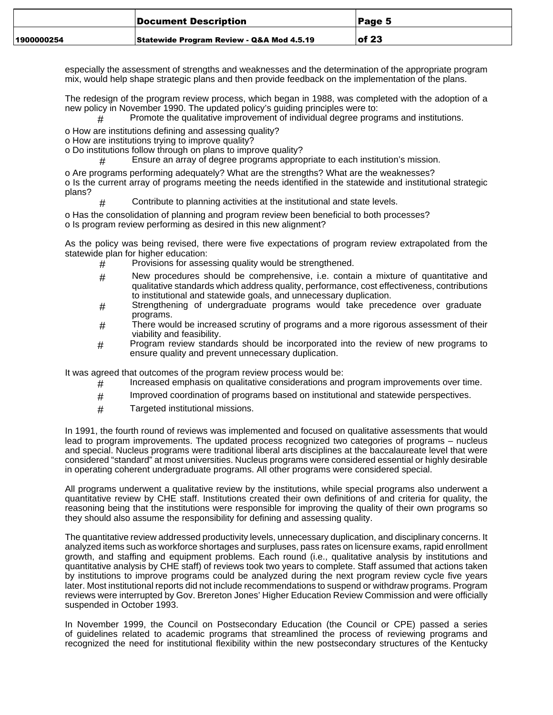|            | Document Description                      | Page 5    |
|------------|-------------------------------------------|-----------|
| 1900000254 | Statewide Program Review - Q&A Mod 4.5.19 | $ $ of 23 |

especially the assessment of strengths and weaknesses and the determination of the appropriate program mix, would help shape strategic plans and then provide feedback on the implementation of the plans.

The redesign of the program review process, which began in 1988, was completed with the adoption of a new policy in November 1990. The updated policy's guiding principles were to:

# Promote the qualitative improvement of individual degree programs and institutions.

o How are institutions defining and assessing quality?

- o How are institutions trying to improve quality?
- o Do institutions follow through on plans to improve quality?
	- # Ensure an array of degree programs appropriate to each institution's mission.

o Are programs performing adequately? What are the strengths? What are the weaknesses? o Is the current array of programs meeting the needs identified in the statewide and institutional strategic plans?

# Contribute to planning activities at the institutional and state levels.

o Has the consolidation of planning and program review been beneficial to both processes? o Is program review performing as desired in this new alignment?

As the policy was being revised, there were five expectations of program review extrapolated from the statewide plan for higher education:

- $#$  Provisions for assessing quality would be strengthened.
- # New procedures should be comprehensive, i.e. contain a mixture of quantitative and qualitative standards which address quality, performance, cost effectiveness, contributions to institutional and statewide goals, and unnecessary duplication.
- # Strengthening of undergraduate programs would take precedence over graduate programs.
- $#$  There would be increased scrutiny of programs and a more rigorous assessment of their viability and feasibility.
- # Program review standards should be incorporated into the review of new programs to ensure quality and prevent unnecessary duplication.

It was agreed that outcomes of the program review process would be:

- $#$  Increased emphasis on qualitative considerations and program improvements over time.
- # Improved coordination of programs based on institutional and statewide perspectives.
- # Targeted institutional missions.

In 1991, the fourth round of reviews was implemented and focused on qualitative assessments that would lead to program improvements. The updated process recognized two categories of programs – nucleus and special. Nucleus programs were traditional liberal arts disciplines at the baccalaureate level that were considered "standard" at most universities. Nucleus programs were considered essential or highly desirable in operating coherent undergraduate programs. All other programs were considered special.

All programs underwent a qualitative review by the institutions, while special programs also underwent a quantitative review by CHE staff. Institutions created their own definitions of and criteria for quality, the reasoning being that the institutions were responsible for improving the quality of their own programs so they should also assume the responsibility for defining and assessing quality.

The quantitative review addressed productivity levels, unnecessary duplication, and disciplinary concerns. It analyzed items such as workforce shortages and surpluses, pass rates on licensure exams, rapid enrollment growth, and staffing and equipment problems. Each round (i.e., qualitative analysis by institutions and quantitative analysis by CHE staff) of reviews took two years to complete. Staff assumed that actions taken by institutions to improve programs could be analyzed during the next program review cycle five years later. Most institutional reports did not include recommendations to suspend or withdraw programs. Program reviews were interrupted by Gov. Brereton Jones' Higher Education Review Commission and were officially suspended in October 1993.

In November 1999, the Council on Postsecondary Education (the Council or CPE) passed a series of guidelines related to academic programs that streamlined the process of reviewing programs and recognized the need for institutional flexibility within the new postsecondary structures of the Kentucky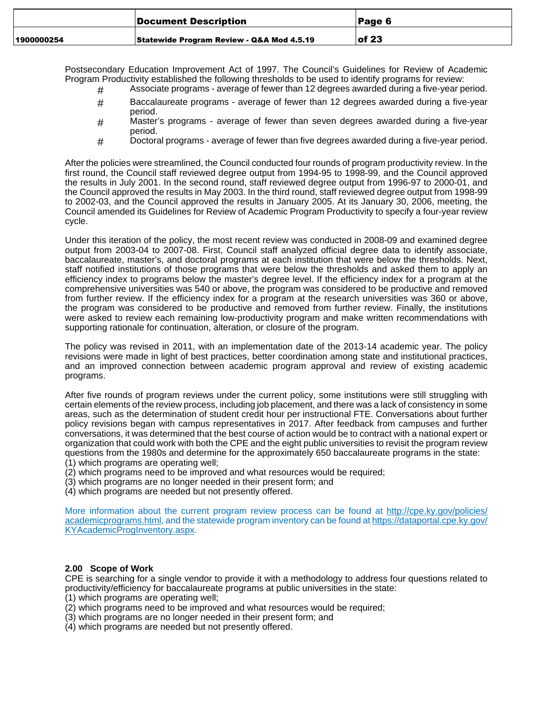|            | Document Description                      | Page 6    |
|------------|-------------------------------------------|-----------|
| 1900000254 | Statewide Program Review - Q&A Mod 4.5.19 | $ $ of 23 |

Postsecondary Education Improvement Act of 1997. The Council's Guidelines for Review of Academic Program Productivity established the following thresholds to be used to identify programs for review:

- # Associate programs average of fewer than 12 degrees awarded during a five-year period.
- # Baccalaureate programs average of fewer than 12 degrees awarded during a five-year period.
- # Master's programs average of fewer than seven degrees awarded during a five-year period.
- # Doctoral programs average of fewer than five degrees awarded during a five-year period.

After the policies were streamlined, the Council conducted four rounds of program productivity review. In the first round, the Council staff reviewed degree output from 1994-95 to 1998-99, and the Council approved the results in July 2001. In the second round, staff reviewed degree output from 1996-97 to 2000-01, and the Council approved the results in May 2003. In the third round, staff reviewed degree output from 1998-99 to 2002-03, and the Council approved the results in January 2005. At its January 30, 2006, meeting, the Council amended its Guidelines for Review of Academic Program Productivity to specify a four-year review cycle.

Under this iteration of the policy, the most recent review was conducted in 2008-09 and examined degree output from 2003-04 to 2007-08. First, Council staff analyzed official degree data to identify associate, baccalaureate, master's, and doctoral programs at each institution that were below the thresholds. Next, staff notified institutions of those programs that were below the thresholds and asked them to apply an efficiency index to programs below the master's degree level. If the efficiency index for a program at the comprehensive universities was 540 or above, the program was considered to be productive and removed from further review. If the efficiency index for a program at the research universities was 360 or above, the program was considered to be productive and removed from further review. Finally, the institutions were asked to review each remaining low-productivity program and make written recommendations with supporting rationale for continuation, alteration, or closure of the program.

The policy was revised in 2011, with an implementation date of the 2013-14 academic year. The policy revisions were made in light of best practices, better coordination among state and institutional practices, and an improved connection between academic program approval and review of existing academic programs.

After five rounds of program reviews under the current policy, some institutions were still struggling with certain elements of the review process, including job placement, and there was a lack of consistency in some areas, such as the determination of student credit hour per instructional FTE. Conversations about further policy revisions began with campus representatives in 2017. After feedback from campuses and further conversations, it was determined that the best course of action would be to contract with a national expert or organization that could work with both the CPE and the eight public universities to revisit the program review questions from the 1980s and determine for the approximately 650 baccalaureate programs in the state: (1) which programs are operating well;

- (2) which programs need to be improved and what resources would be required;
- (3) which programs are no longer needed in their present form; and
- (4) which programs are needed but not presently offered.

More information about the current program review process can be found at [http://cpe.ky.gov/policies/](http://cpe.ky.gov/policies/academicprograms.html) [academicprograms.html,](http://cpe.ky.gov/policies/academicprograms.html) and the statewide program inventory can be found at [https://dataportal.cpe.ky.gov/](https://dataportal.cpe.ky.gov/KYAcademicProgInventory.aspx) [KYAcademicProgInventory.aspx](https://dataportal.cpe.ky.gov/KYAcademicProgInventory.aspx).

#### **2.00 Scope of Work**

CPE is searching for a single vendor to provide it with a methodology to address four questions related to productivity/efficiency for baccalaureate programs at public universities in the state:

- (1) which programs are operating well;
- (2) which programs need to be improved and what resources would be required;
- (3) which programs are no longer needed in their present form; and
- (4) which programs are needed but not presently offered.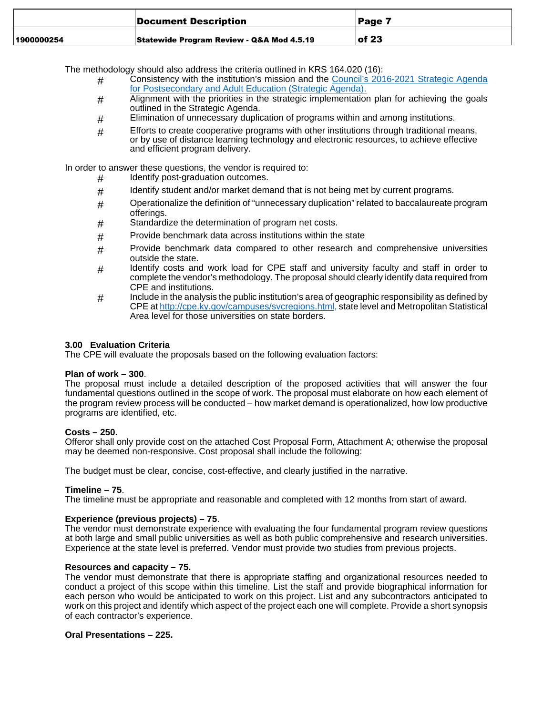|            | Document Description                      | ∣Page 7   |
|------------|-------------------------------------------|-----------|
| 1900000254 | Statewide Program Review - Q&A Mod 4.5.19 | $ $ of 23 |

The methodology should also address the criteria outlined in KRS 164.020 (16):

- # Consistency with the institution's mission and the [Council's 2016-2021 Strategic Agenda](http://cpe.ky.gov/ourwork/documents/201621strategicagenda.pdf) [for Postsecondary and Adult Education \(Strategic Agenda\).](http://cpe.ky.gov/ourwork/documents/201621strategicagenda.pdf)
- $#$  Alignment with the priorities in the strategic implementation plan for achieving the goals outlined in the Strategic Agenda.
- $#$  Elimination of unnecessary duplication of programs within and among institutions.
- $#$  Efforts to create cooperative programs with other institutions through traditional means, or by use of distance learning technology and electronic resources, to achieve effective and efficient program delivery.

In order to answer these questions, the vendor is required to:

- # Identify post-graduation outcomes.
- # Identify student and/or market demand that is not being met by current programs.
- $#$  Operationalize the definition of "unnecessary duplication" related to baccalaureate program offerings.
- # Standardize the determination of program net costs.
- # Provide benchmark data across institutions within the state
- $#$  Provide benchmark data compared to other research and comprehensive universities outside the state.
- # Identify costs and work load for CPE staff and university faculty and staff in order to complete the vendor's methodology. The proposal should clearly identify data required from CPE and institutions.
- # Include in the analysis the public institution's area of geographic responsibility as defined by CPE at<http://cpe.ky.gov/campuses/svcregions.html>, state level and Metropolitan Statistical Area level for those universities on state borders.

#### **3.00 Evaluation Criteria**

The CPE will evaluate the proposals based on the following evaluation factors:

#### **Plan of work – 300**.

The proposal must include a detailed description of the proposed activities that will answer the four fundamental questions outlined in the scope of work. The proposal must elaborate on how each element of the program review process will be conducted – how market demand is operationalized, how low productive programs are identified, etc.

#### **Costs – 250.**

Offeror shall only provide cost on the attached Cost Proposal Form, Attachment A; otherwise the proposal may be deemed non-responsive. Cost proposal shall include the following:

The budget must be clear, concise, cost-effective, and clearly justified in the narrative.

## **Timeline – 75**.

The timeline must be appropriate and reasonable and completed with 12 months from start of award.

## **Experience (previous projects) – 75**.

The vendor must demonstrate experience with evaluating the four fundamental program review questions at both large and small public universities as well as both public comprehensive and research universities. Experience at the state level is preferred. Vendor must provide two studies from previous projects.

#### **Resources and capacity – 75.**

The vendor must demonstrate that there is appropriate staffing and organizational resources needed to conduct a project of this scope within this timeline. List the staff and provide biographical information for each person who would be anticipated to work on this project. List and any subcontractors anticipated to work on this project and identify which aspect of the project each one will complete. Provide a short synopsis of each contractor's experience.

## **Oral Presentations – 225.**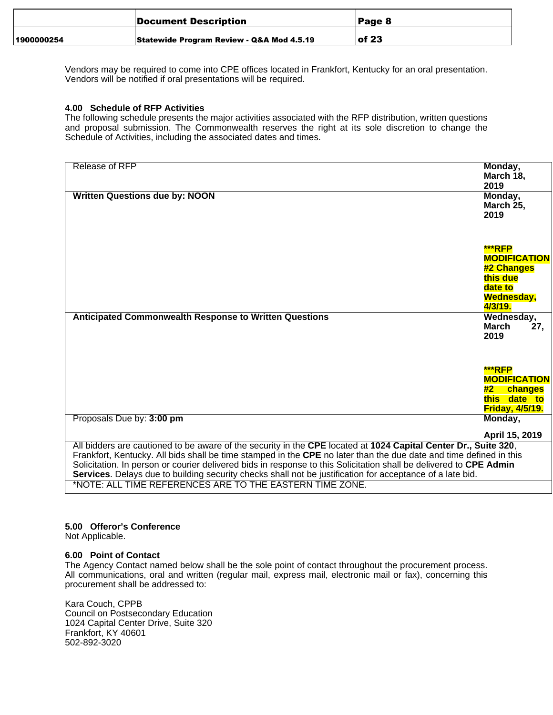|            | Document Description                      | Page 8    |
|------------|-------------------------------------------|-----------|
| 1900000254 | Statewide Program Review - Q&A Mod 4.5.19 | $ $ of 23 |

Vendors may be required to come into CPE offices located in Frankfort, Kentucky for an oral presentation. Vendors will be notified if oral presentations will be required.

#### **4.00 Schedule of RFP Activities**

The following schedule presents the major activities associated with the RFP distribution, written questions and proposal submission. The Commonwealth reserves the right at its sole discretion to change the Schedule of Activities, including the associated dates and times.

| Release of RFP<br>Monday,<br>March 18,<br>2019<br><b>Written Questions due by: NOON</b><br>Monday,<br>March 25,<br>2019 |
|-------------------------------------------------------------------------------------------------------------------------|
|                                                                                                                         |
|                                                                                                                         |
|                                                                                                                         |
|                                                                                                                         |
|                                                                                                                         |
|                                                                                                                         |
|                                                                                                                         |
|                                                                                                                         |
|                                                                                                                         |
| ***RFP                                                                                                                  |
|                                                                                                                         |
| <b>MODIFICATION</b>                                                                                                     |
| #2 Changes                                                                                                              |
| this due                                                                                                                |
| date to                                                                                                                 |
| Wednesday,                                                                                                              |
| 4/3/19.                                                                                                                 |
|                                                                                                                         |
| Wednesday,<br><b>Anticipated Commonwealth Response to Written Questions</b>                                             |
| March<br>27.                                                                                                            |
| 2019                                                                                                                    |
|                                                                                                                         |
|                                                                                                                         |
|                                                                                                                         |
| ***RFP                                                                                                                  |
| <b>MODIFICATION</b>                                                                                                     |
| changes<br>#2 $\overline{ }$                                                                                            |
| this date to                                                                                                            |
| <b>Friday, 4/5/19.</b>                                                                                                  |
| Proposals Due by: 3:00 pm<br>Monday,                                                                                    |
|                                                                                                                         |
| April 15, 2019                                                                                                          |
| All bidders are cautioned to be aware of the security in the CPE located at 1024 Capital Center Dr., Suite 320,         |
|                                                                                                                         |
| Frankfort, Kentucky. All bids shall be time stamped in the CPE no later than the due date and time defined in this      |
| Solicitation. In person or courier delivered bids in response to this Solicitation shall be delivered to CPE Admin      |
| Services. Delays due to building security checks shall not be justification for acceptance of a late bid.               |
| *NOTE: ALL TIME REFERENCES ARE TO THE EASTERN TIME ZONE.                                                                |

## **5.00 Offeror's Conference**

Not Applicable.

#### **6.00 Point of Contact**

The Agency Contact named below shall be the sole point of contact throughout the procurement process. All communications, oral and written (regular mail, express mail, electronic mail or fax), concerning this procurement shall be addressed to:

Kara Couch, CPPB Council on Postsecondary Education 1024 Capital Center Drive, Suite 320 Frankfort, KY 40601 502-892-3020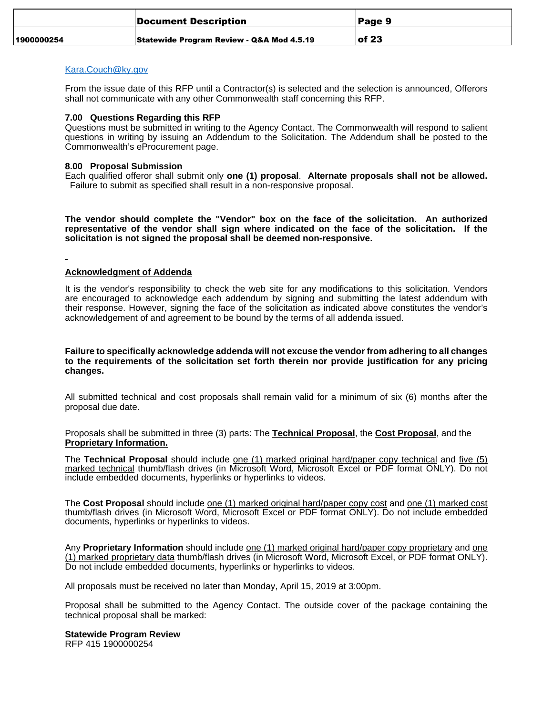|            | Document Description                      | Page 9    |
|------------|-------------------------------------------|-----------|
| 1900000254 | Statewide Program Review - Q&A Mod 4.5.19 | $ $ of 23 |

## [Kara.Couch@ky.gov](mailto:Kara.Couch@ky.gov)

From the issue date of this RFP until a Contractor(s) is selected and the selection is announced, Offerors shall not communicate with any other Commonwealth staff concerning this RFP.

#### **7.00 Questions Regarding this RFP**

Questions must be submitted in writing to the Agency Contact. The Commonwealth will respond to salient questions in writing by issuing an Addendum to the Solicitation. The Addendum shall be posted to the Commonwealth's eProcurement page.

#### **8.00 Proposal Submission**

Each qualified offeror shall submit only **one (1) proposal**. **Alternate proposals shall not be allowed.** Failure to submit as specified shall result in a non-responsive proposal.

**The vendor should complete the "Vendor" box on the face of the solicitation. An authorized representative of the vendor shall sign where indicated on the face of the solicitation. If the solicitation is not signed the proposal shall be deemed non-responsive.**

## **Acknowledgment of Addenda**

It is the vendor's responsibility to check the web site for any modifications to this solicitation. Vendors are encouraged to acknowledge each addendum by signing and submitting the latest addendum with their response. However, signing the face of the solicitation as indicated above constitutes the vendor's acknowledgement of and agreement to be bound by the terms of all addenda issued.

**Failure to specifically acknowledge addenda will not excuse the vendor from adhering to all changes to the requirements of the solicitation set forth therein nor provide justification for any pricing changes.**

All submitted technical and cost proposals shall remain valid for a minimum of six (6) months after the proposal due date.

Proposals shall be submitted in three (3) parts: The **Technical Proposal**, the **Cost Proposal**, and the **Proprietary Information.**

The **Technical Proposal** should include one (1) marked original hard/paper copy technical and five (5) marked technical thumb/flash drives (in Microsoft Word, Microsoft Excel or PDF format ONLY). Do not include embedded documents, hyperlinks or hyperlinks to videos.

The **Cost Proposal** should include one (1) marked original hard/paper copy cost and one (1) marked cost thumb/flash drives (in Microsoft Word, Microsoft Excel or PDF format ONLY). Do not include embedded documents, hyperlinks or hyperlinks to videos.

Any **Proprietary Information** should include one (1) marked original hard/paper copy proprietary and one (1) marked proprietary data thumb/flash drives (in Microsoft Word, Microsoft Excel, or PDF format ONLY). Do not include embedded documents, hyperlinks or hyperlinks to videos.

All proposals must be received no later than Monday, April 15, 2019 at 3:00pm.

Proposal shall be submitted to the Agency Contact. The outside cover of the package containing the technical proposal shall be marked:

## **Statewide Program Review**

RFP 415 1900000254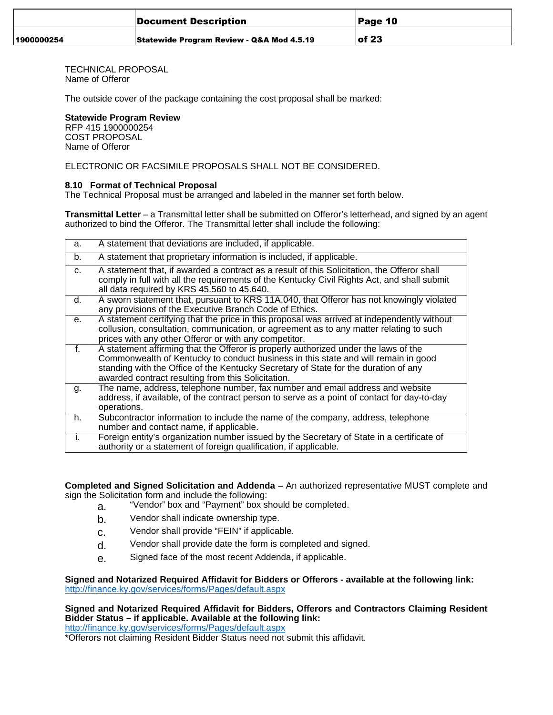|            | Document Description                      | Page 10   |
|------------|-------------------------------------------|-----------|
| 1900000254 | Statewide Program Review - Q&A Mod 4.5.19 | $ $ of 23 |

TECHNICAL PROPOSAL Name of Offeror

The outside cover of the package containing the cost proposal shall be marked:

## **Statewide Program Review**

RFP 415 1900000254 COST PROPOSAL Name of Offeror

ELECTRONIC OR FACSIMILE PROPOSALS SHALL NOT BE CONSIDERED.

## **8.10 Format of Technical Proposal**

The Technical Proposal must be arranged and labeled in the manner set forth below.

**Transmittal Letter** – a Transmittal letter shall be submitted on Offeror's letterhead, and signed by an agent authorized to bind the Offeror. The Transmittal letter shall include the following:

| a. | A statement that deviations are included, if applicable.                                                                                                                                                                                                                                                               |
|----|------------------------------------------------------------------------------------------------------------------------------------------------------------------------------------------------------------------------------------------------------------------------------------------------------------------------|
| b. | A statement that proprietary information is included, if applicable.                                                                                                                                                                                                                                                   |
| C. | A statement that, if awarded a contract as a result of this Solicitation, the Offeror shall<br>comply in full with all the requirements of the Kentucky Civil Rights Act, and shall submit<br>all data required by KRS 45.560 to 45.640.                                                                               |
| d. | A sworn statement that, pursuant to KRS 11A.040, that Offeror has not knowingly violated<br>any provisions of the Executive Branch Code of Ethics.                                                                                                                                                                     |
| е. | A statement certifying that the price in this proposal was arrived at independently without<br>collusion, consultation, communication, or agreement as to any matter relating to such<br>prices with any other Offeror or with any competitor.                                                                         |
| f. | A statement affirming that the Offeror is properly authorized under the laws of the<br>Commonwealth of Kentucky to conduct business in this state and will remain in good<br>standing with the Office of the Kentucky Secretary of State for the duration of any<br>awarded contract resulting from this Solicitation. |
| g. | The name, address, telephone number, fax number and email address and website<br>address, if available, of the contract person to serve as a point of contact for day-to-day<br>operations.                                                                                                                            |
| h. | Subcontractor information to include the name of the company, address, telephone<br>number and contact name, if applicable.                                                                                                                                                                                            |
| i. | Foreign entity's organization number issued by the Secretary of State in a certificate of<br>authority or a statement of foreign qualification, if applicable.                                                                                                                                                         |

**Completed and Signed Solicitation and Addenda –** An authorized representative MUST complete and sign the Solicitation form and include the following:

- a. "Vendor" box and "Payment" box should be completed.
- b. Vendor shall indicate ownership type.
- c. Vendor shall provide "FEIN" if applicable.
- d. Vendor shall provide date the form is completed and signed.
- e. Signed face of the most recent Addenda, if applicable.

**Signed and Notarized Required Affidavit for Bidders or Offerors - available at the following link:** <http://finance.ky.gov/services/forms/Pages/default.aspx>

## **Signed and Notarized Required Affidavit for Bidders, Offerors and Contractors Claiming Resident Bidder Status – if applicable. Available at the following link:**

<http://finance.ky.gov/services/forms/Pages/default.aspx>

\*Offerors not claiming Resident Bidder Status need not submit this affidavit.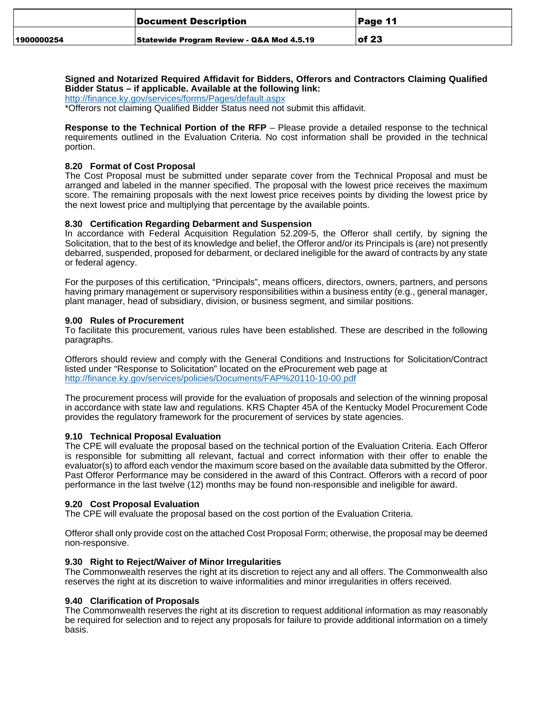|            | Document Description                      | <b>Page 11</b> |
|------------|-------------------------------------------|----------------|
| 1900000254 | Statewide Program Review - Q&A Mod 4.5.19 | $ $ of 23      |

## **Signed and Notarized Required Affidavit for Bidders, Offerors and Contractors Claiming Qualified Bidder Status – if applicable. Available at the following link:**

<http://finance.ky.gov/services/forms/Pages/default.aspx>

\*Offerors not claiming Qualified Bidder Status need not submit this affidavit.

**Response to the Technical Portion of the RFP** – Please provide a detailed response to the technical requirements outlined in the Evaluation Criteria. No cost information shall be provided in the technical portion.

## **8.20 Format of Cost Proposal**

The Cost Proposal must be submitted under separate cover from the Technical Proposal and must be arranged and labeled in the manner specified. The proposal with the lowest price receives the maximum score. The remaining proposals with the next lowest price receives points by dividing the lowest price by the next lowest price and multiplying that percentage by the available points.

## **8.30 Certification Regarding Debarment and Suspension**

In accordance with Federal Acquisition Regulation 52.209-5, the Offeror shall certify, by signing the Solicitation, that to the best of its knowledge and belief, the Offeror and/or its Principals is (are) not presently debarred, suspended, proposed for debarment, or declared ineligible for the award of contracts by any state or federal agency.

For the purposes of this certification, "Principals", means officers, directors, owners, partners, and persons having primary management or supervisory responsibilities within a business entity (e.g., general manager, plant manager, head of subsidiary, division, or business segment, and similar positions.

## **9.00 Rules of Procurement**

To facilitate this procurement, various rules have been established. These are described in the following paragraphs.

Offerors should review and comply with the General Conditions and Instructions for Solicitation/Contract listed under "Response to Solicitation" located on the eProcurement web page at <http://finance.ky.gov/services/policies/Documents/FAP%20110-10-00.pdf>

The procurement process will provide for the evaluation of proposals and selection of the winning proposal in accordance with state law and regulations. KRS Chapter 45A of the Kentucky Model Procurement Code provides the regulatory framework for the procurement of services by state agencies.

## **9.10 Technical Proposal Evaluation**

The CPE will evaluate the proposal based on the technical portion of the Evaluation Criteria. Each Offeror is responsible for submitting all relevant, factual and correct information with their offer to enable the evaluator(s) to afford each vendor the maximum score based on the available data submitted by the Offeror. Past Offeror Performance may be considered in the award of this Contract. Offerors with a record of poor performance in the last twelve (12) months may be found non-responsible and ineligible for award.

## **9.20 Cost Proposal Evaluation**

The CPE will evaluate the proposal based on the cost portion of the Evaluation Criteria.

Offeror shall only provide cost on the attached Cost Proposal Form; otherwise, the proposal may be deemed non-responsive.

## **9.30 Right to Reject/Waiver of Minor Irregularities**

The Commonwealth reserves the right at its discretion to reject any and all offers. The Commonwealth also reserves the right at its discretion to waive informalities and minor irregularities in offers received.

## **9.40 Clarification of Proposals**

The Commonwealth reserves the right at its discretion to request additional information as may reasonably be required for selection and to reject any proposals for failure to provide additional information on a timely basis.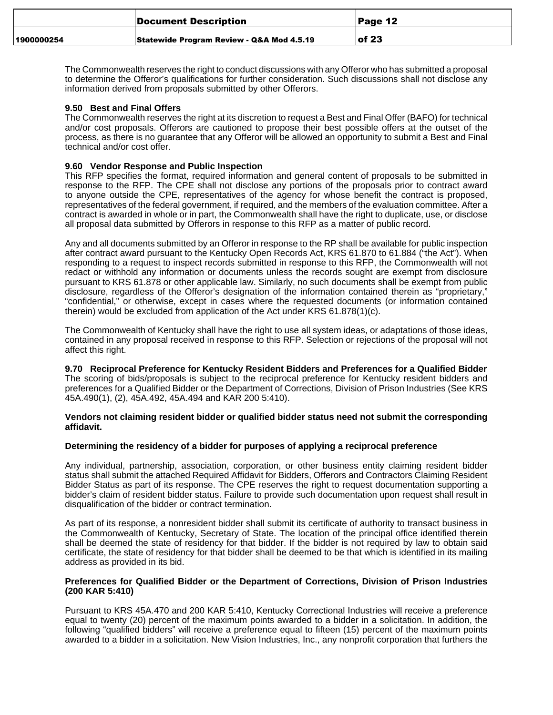|            | Document Description                      | ∣Page 12 |
|------------|-------------------------------------------|----------|
| 1900000254 | Statewide Program Review - Q&A Mod 4.5.19 | lof 23   |

The Commonwealth reserves the right to conduct discussions with any Offeror who has submitted a proposal to determine the Offeror's qualifications for further consideration. Such discussions shall not disclose any information derived from proposals submitted by other Offerors.

## **9.50 Best and Final Offers**

The Commonwealth reserves the right at its discretion to request a Best and Final Offer (BAFO) for technical and/or cost proposals. Offerors are cautioned to propose their best possible offers at the outset of the process, as there is no guarantee that any Offeror will be allowed an opportunity to submit a Best and Final technical and/or cost offer.

#### **9.60 Vendor Response and Public Inspection**

This RFP specifies the format, required information and general content of proposals to be submitted in response to the RFP. The CPE shall not disclose any portions of the proposals prior to contract award to anyone outside the CPE, representatives of the agency for whose benefit the contract is proposed, representatives of the federal government, if required, and the members of the evaluation committee. After a contract is awarded in whole or in part, the Commonwealth shall have the right to duplicate, use, or disclose all proposal data submitted by Offerors in response to this RFP as a matter of public record.

Any and all documents submitted by an Offeror in response to the RP shall be available for public inspection after contract award pursuant to the Kentucky Open Records Act, KRS 61.870 to 61.884 ("the Act"). When responding to a request to inspect records submitted in response to this RFP, the Commonwealth will not redact or withhold any information or documents unless the records sought are exempt from disclosure pursuant to KRS 61.878 or other applicable law. Similarly, no such documents shall be exempt from public disclosure, regardless of the Offeror's designation of the information contained therein as "proprietary," "confidential," or otherwise, except in cases where the requested documents (or information contained therein) would be excluded from application of the Act under KRS 61.878(1)(c).

The Commonwealth of Kentucky shall have the right to use all system ideas, or adaptations of those ideas, contained in any proposal received in response to this RFP. Selection or rejections of the proposal will not affect this right.

**9.70 Reciprocal Preference for Kentucky Resident Bidders and Preferences for a Qualified Bidder** The scoring of bids/proposals is subject to the reciprocal preference for Kentucky resident bidders and preferences for a Qualified Bidder or the Department of Corrections, Division of Prison Industries (See KRS 45A.490(1), (2), 45A.492, 45A.494 and KAR 200 5:410).

#### **Vendors not claiming resident bidder or qualified bidder status need not submit the corresponding affidavit.**

#### **Determining the residency of a bidder for purposes of applying a reciprocal preference**

Any individual, partnership, association, corporation, or other business entity claiming resident bidder status shall submit the attached Required Affidavit for Bidders, Offerors and Contractors Claiming Resident Bidder Status as part of its response. The CPE reserves the right to request documentation supporting a bidder's claim of resident bidder status. Failure to provide such documentation upon request shall result in disqualification of the bidder or contract termination.

As part of its response, a nonresident bidder shall submit its certificate of authority to transact business in the Commonwealth of Kentucky, Secretary of State. The location of the principal office identified therein shall be deemed the state of residency for that bidder. If the bidder is not required by law to obtain said certificate, the state of residency for that bidder shall be deemed to be that which is identified in its mailing address as provided in its bid.

#### **Preferences for Qualified Bidder or the Department of Corrections, Division of Prison Industries (200 KAR 5:410)**

Pursuant to KRS 45A.470 and 200 KAR 5:410, Kentucky Correctional Industries will receive a preference equal to twenty (20) percent of the maximum points awarded to a bidder in a solicitation. In addition, the following "qualified bidders" will receive a preference equal to fifteen (15) percent of the maximum points awarded to a bidder in a solicitation. New Vision Industries, Inc., any nonprofit corporation that furthers the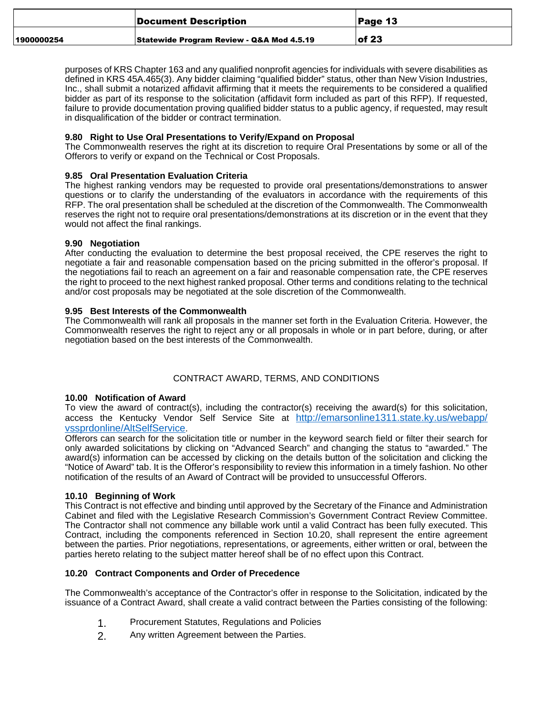|            | Document Description                      | ∣Page 13  |
|------------|-------------------------------------------|-----------|
| 1900000254 | Statewide Program Review - Q&A Mod 4.5.19 | $ $ of 23 |

purposes of KRS Chapter 163 and any qualified nonprofit agencies for individuals with severe disabilities as defined in KRS 45A.465(3). Any bidder claiming "qualified bidder" status, other than New Vision Industries, Inc., shall submit a notarized affidavit affirming that it meets the requirements to be considered a qualified bidder as part of its response to the solicitation (affidavit form included as part of this RFP). If requested, failure to provide documentation proving qualified bidder status to a public agency, if requested, may result in disqualification of the bidder or contract termination.

## **9.80 Right to Use Oral Presentations to Verify/Expand on Proposal**

The Commonwealth reserves the right at its discretion to require Oral Presentations by some or all of the Offerors to verify or expand on the Technical or Cost Proposals.

## **9.85 Oral Presentation Evaluation Criteria**

The highest ranking vendors may be requested to provide oral presentations/demonstrations to answer questions or to clarify the understanding of the evaluators in accordance with the requirements of this RFP. The oral presentation shall be scheduled at the discretion of the Commonwealth. The Commonwealth reserves the right not to require oral presentations/demonstrations at its discretion or in the event that they would not affect the final rankings.

## **9.90 Negotiation**

After conducting the evaluation to determine the best proposal received, the CPE reserves the right to negotiate a fair and reasonable compensation based on the pricing submitted in the offeror's proposal. If the negotiations fail to reach an agreement on a fair and reasonable compensation rate, the CPE reserves the right to proceed to the next highest ranked proposal. Other terms and conditions relating to the technical and/or cost proposals may be negotiated at the sole discretion of the Commonwealth.

## **9.95 Best Interests of the Commonwealth**

The Commonwealth will rank all proposals in the manner set forth in the Evaluation Criteria. However, the Commonwealth reserves the right to reject any or all proposals in whole or in part before, during, or after negotiation based on the best interests of the Commonwealth.

## CONTRACT AWARD, TERMS, AND CONDITIONS

## **10.00 Notification of Award**

To view the award of contract(s), including the contractor(s) receiving the award(s) for this solicitation, access the Kentucky Vendor Self Service Site at [http://emarsonline1311.state.ky.us/webapp/](http://emarsonline1311.state.ky.us/webapp/vssprdonline/AltSelfService) [vssprdonline/AltSelfService](http://emarsonline1311.state.ky.us/webapp/vssprdonline/AltSelfService).

Offerors can search for the solicitation title or number in the keyword search field or filter their search for only awarded solicitations by clicking on "Advanced Search" and changing the status to "awarded." The award(s) information can be accessed by clicking on the details button of the solicitation and clicking the "Notice of Award" tab. It is the Offeror's responsibility to review this information in a timely fashion. No other notification of the results of an Award of Contract will be provided to unsuccessful Offerors.

## **10.10 Beginning of Work**

This Contract is not effective and binding until approved by the Secretary of the Finance and Administration Cabinet and filed with the Legislative Research Commission's Government Contract Review Committee. The Contractor shall not commence any billable work until a valid Contract has been fully executed. This Contract, including the components referenced in Section 10.20, shall represent the entire agreement between the parties. Prior negotiations, representations, or agreements, either written or oral, between the parties hereto relating to the subject matter hereof shall be of no effect upon this Contract.

## **10.20 Contract Components and Order of Precedence**

The Commonwealth's acceptance of the Contractor's offer in response to the Solicitation, indicated by the issuance of a Contract Award, shall create a valid contract between the Parties consisting of the following:

- 1. Procurement Statutes, Regulations and Policies
- 2. Any written Agreement between the Parties.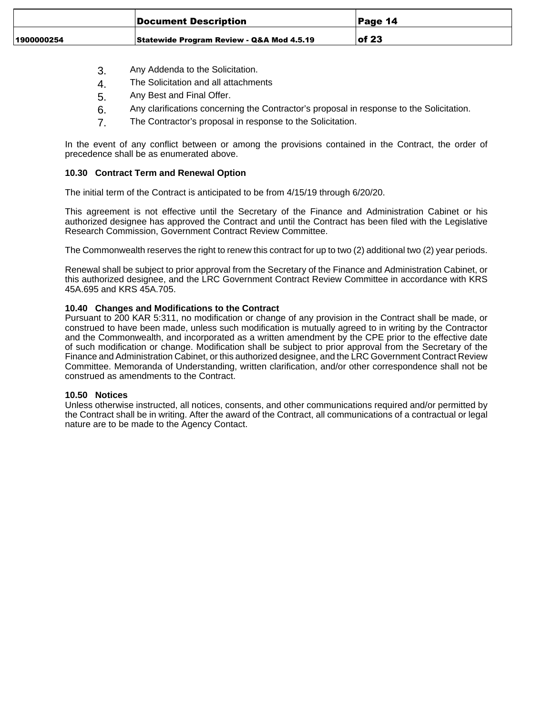|            | Document Description                      | Page 14   |
|------------|-------------------------------------------|-----------|
| 1900000254 | Statewide Program Review - Q&A Mod 4.5.19 | $ $ of 23 |

- 3. Any Addenda to the Solicitation.
- 4. The Solicitation and all attachments
- 5. Any Best and Final Offer.
- 6. Any clarifications concerning the Contractor's proposal in response to the Solicitation.
- 7. The Contractor's proposal in response to the Solicitation.

In the event of any conflict between or among the provisions contained in the Contract, the order of precedence shall be as enumerated above.

#### **10.30 Contract Term and Renewal Option**

The initial term of the Contract is anticipated to be from 4/15/19 through 6/20/20.

This agreement is not effective until the Secretary of the Finance and Administration Cabinet or his authorized designee has approved the Contract and until the Contract has been filed with the Legislative Research Commission, Government Contract Review Committee.

The Commonwealth reserves the right to renew this contract for up to two (2) additional two (2) year periods.

Renewal shall be subject to prior approval from the Secretary of the Finance and Administration Cabinet, or this authorized designee, and the LRC Government Contract Review Committee in accordance with KRS 45A.695 and KRS 45A.705.

## **10.40 Changes and Modifications to the Contract**

Pursuant to 200 KAR 5:311, no modification or change of any provision in the Contract shall be made, or construed to have been made, unless such modification is mutually agreed to in writing by the Contractor and the Commonwealth, and incorporated as a written amendment by the CPE prior to the effective date of such modification or change. Modification shall be subject to prior approval from the Secretary of the Finance and Administration Cabinet, or this authorized designee, and the LRC Government Contract Review Committee. Memoranda of Understanding, written clarification, and/or other correspondence shall not be construed as amendments to the Contract.

#### **10.50 Notices**

Unless otherwise instructed, all notices, consents, and other communications required and/or permitted by the Contract shall be in writing. After the award of the Contract, all communications of a contractual or legal nature are to be made to the Agency Contact.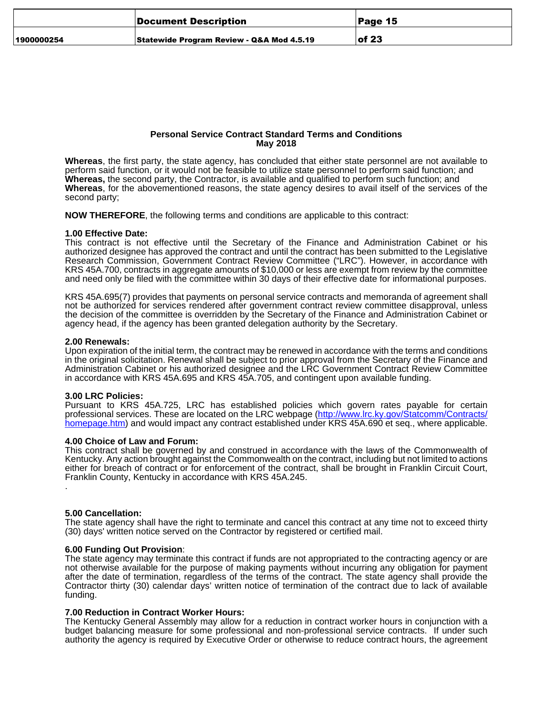|            | Document Description                      | Page 15 |
|------------|-------------------------------------------|---------|
| 1900000254 | Statewide Program Review - Q&A Mod 4.5.19 | of 23   |

#### **Personal Service Contract Standard Terms and Conditions May 2018**

**Whereas**, the first party, the state agency, has concluded that either state personnel are not available to perform said function, or it would not be feasible to utilize state personnel to perform said function; and **Whereas,** the second party, the Contractor, is available and qualified to perform such function; and **Whereas**, for the abovementioned reasons, the state agency desires to avail itself of the services of the second party;

**NOW THEREFORE**, the following terms and conditions are applicable to this contract:

#### **1.00 Effective Date:**

This contract is not effective until the Secretary of the Finance and Administration Cabinet or his authorized designee has approved the contract and until the contract has been submitted to the Legislative Research Commission, Government Contract Review Committee ("LRC"). However, in accordance with KRS 45A.700, contracts in aggregate amounts of \$10,000 or less are exempt from review by the committee and need only be filed with the committee within 30 days of their effective date for informational purposes.

KRS 45A.695(7) provides that payments on personal service contracts and memoranda of agreement shall not be authorized for services rendered after government contract review committee disapproval, unless the decision of the committee is overridden by the Secretary of the Finance and Administration Cabinet or agency head, if the agency has been granted delegation authority by the Secretary.

#### **2.00 Renewals:**

Upon expiration of the initial term, the contract may be renewed in accordance with the terms and conditions in the original solicitation. Renewal shall be subject to prior approval from the Secretary of the Finance and Administration Cabinet or his authorized designee and the LRC Government Contract Review Committee in accordance with KRS 45A.695 and KRS 45A.705, and contingent upon available funding.

#### **3.00 LRC Policies:**

Pursuant to KRS 45A.725, LRC has established policies which govern rates payable for certain professional services. These are located on the LRC webpage (<u>http://www.lrc.ky.gov/Statcomm/Contracts/</u> [homepage.htm\)](http://www.lrc.ky.gov/Statcomm/Contracts/homepage.htm) and would impact any contract established under KRS 45A.690 et seq., where applicable.

#### **4.00 Choice of Law and Forum:**

This contract shall be governed by and construed in accordance with the laws of the Commonwealth of Kentucky. Any action brought against the Commonwealth on the contract, including but not limited to actions either for breach of contract or for enforcement of the contract, shall be brought in Franklin Circuit Court, Franklin County, Kentucky in accordance with KRS 45A.245.

.

## **5.00 Cancellation:**

The state agency shall have the right to terminate and cancel this contract at any time not to exceed thirty (30) days' written notice served on the Contractor by registered or certified mail.

## **6.00 Funding Out Provision**:

The state agency may terminate this contract if funds are not appropriated to the contracting agency or are not otherwise available for the purpose of making payments without incurring any obligation for payment after the date of termination, regardless of the terms of the contract. The state agency shall provide the Contractor thirty (30) calendar days' written notice of termination of the contract due to lack of available funding.

## **7.00 Reduction in Contract Worker Hours:**

The Kentucky General Assembly may allow for a reduction in contract worker hours in conjunction with a budget balancing measure for some professional and non-professional service contracts. If under such authority the agency is required by Executive Order or otherwise to reduce contract hours, the agreement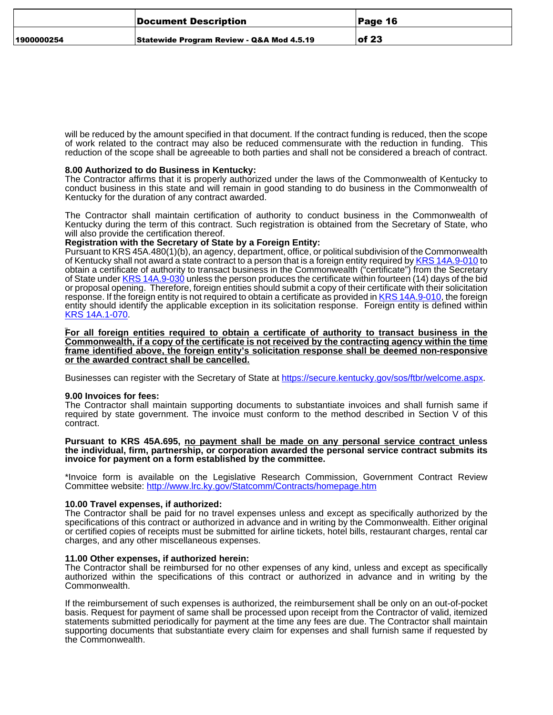|            | Document Description                      | <b>Page 16</b> |
|------------|-------------------------------------------|----------------|
| 1900000254 | Statewide Program Review - Q&A Mod 4.5.19 | $ $ of 23      |

will be reduced by the amount specified in that document. If the contract funding is reduced, then the scope of work related to the contract may also be reduced commensurate with the reduction in funding. This reduction of the scope shall be agreeable to both parties and shall not be considered a breach of contract.

#### **8.00 Authorized to do Business in Kentucky:**

The Contractor affirms that it is properly authorized under the laws of the Commonwealth of Kentucky to conduct business in this state and will remain in good standing to do business in the Commonwealth of Kentucky for the duration of any contract awarded.

The Contractor shall maintain certification of authority to conduct business in the Commonwealth of Kentucky during the term of this contract. Such registration is obtained from the Secretary of State, who will also provide the certification thereof.

#### **Registration with the Secretary of State by a Foreign Entity:**

Pursuant to KRS 45A.480(1)(b), an agency, department, office, or political subdivision of the Commonwealth of Kentucky shall not award a state contract to a person that is a foreign entity required by [KRS 14A.9-010](http://www.lrc.ky.gov/KRS/014A09/010.PDF) to obtain a certificate of authority to transact business in the Commonwealth ("certificate") from the Secretary of State under [KRS 14A.9-030](http://www.lrc.ky.gov/KRS/014A09/030.PDF) unless the person produces the certificate within fourteen (14) days of the bid or proposal opening. Therefore, foreign entities should submit a copy of their certificate with their solicitation response. If the foreign entity is not required to obtain a certificate as provided in [KRS 14A.9-010,](http://www.lrc.ky.gov/KRS/014A09/010.PDF) the foreign entity should identify the applicable exception in its solicitation response. Foreign entity is defined within [KRS 14A.1-070](http://www.lrc.ky.gov/KRS/014A01/070.PDF).

**For all foreign entities required to obtain a certificate of authority to transact business in the Commonwealth, if a copy of the certificate is not received by the contracting agency within the time frame identified above, the foreign entity's solicitation response shall be deemed non-responsive or the awarded contract shall be cancelled.**

Businesses can register with the Secretary of State at [https://secure.kentucky.gov/sos/ftbr/welcome.aspx.](https://secure.kentucky.gov/sos/ftbr/welcome.aspx)

#### **9.00 Invoices for fees:**

The Contractor shall maintain supporting documents to substantiate invoices and shall furnish same if required by state government. The invoice must conform to the method described in Section V of this contract.

**Pursuant to KRS 45A.695, no payment shall be made on any personal service contract unless the individual, firm, partnership, or corporation awarded the personal service contract submits its invoice for payment on a form established by the committee.**

\*Invoice form is available on the Legislative Research Commission, Government Contract Review Committee website: <http://www.lrc.ky.gov/Statcomm/Contracts/homepage.htm>

#### **10.00 Travel expenses, if authorized:**

The Contractor shall be paid for no travel expenses unless and except as specifically authorized by the specifications of this contract or authorized in advance and in writing by the Commonwealth. Either original or certified copies of receipts must be submitted for airline tickets, hotel bills, restaurant charges, rental car charges, and any other miscellaneous expenses.

#### **11.00 Other expenses, if authorized herein:**

The Contractor shall be reimbursed for no other expenses of any kind, unless and except as specifically authorized within the specifications of this contract or authorized in advance and in writing by the Commonwealth.

If the reimbursement of such expenses is authorized, the reimbursement shall be only on an out-of-pocket basis. Request for payment of same shall be processed upon receipt from the Contractor of valid, itemized statements submitted periodically for payment at the time any fees are due. The Contractor shall maintain supporting documents that substantiate every claim for expenses and shall furnish same if requested by the Commonwealth.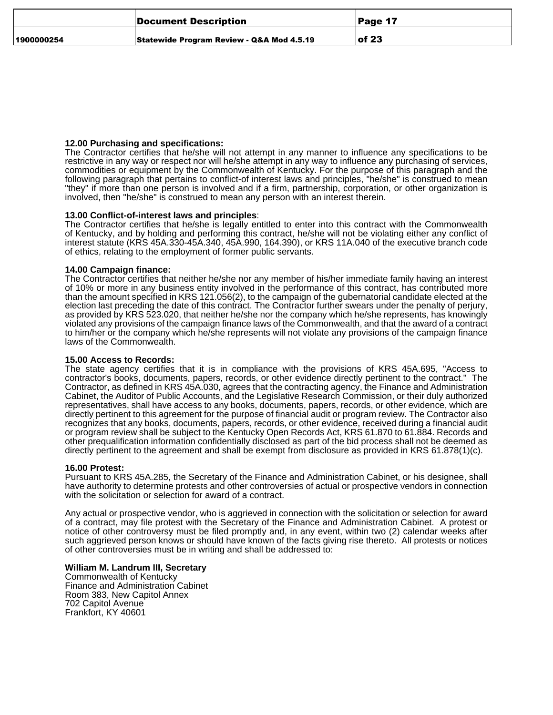|            | Document Description                      | Page 17   |
|------------|-------------------------------------------|-----------|
| 1900000254 | Statewide Program Review - Q&A Mod 4.5.19 | $ $ of 23 |

#### **12.00 Purchasing and specifications:**

The Contractor certifies that he/she will not attempt in any manner to influence any specifications to be restrictive in any way or respect nor will he/she attempt in any way to influence any purchasing of services, commodities or equipment by the Commonwealth of Kentucky. For the purpose of this paragraph and the following paragraph that pertains to conflict-of interest laws and principles, "he/she" is construed to mean "they" if more than one person is involved and if a firm, partnership, corporation, or other organization is involved, then "he/she" is construed to mean any person with an interest therein.

#### **13.00 Conflict-of-interest laws and principles**:

The Contractor certifies that he/she is legally entitled to enter into this contract with the Commonwealth of Kentucky, and by holding and performing this contract, he/she will not be violating either any conflict of interest statute (KRS 45A.330-45A.340, 45A.990, 164.390), or KRS 11A.040 of the executive branch code of ethics, relating to the employment of former public servants.

#### **14.00 Campaign finance:**

The Contractor certifies that neither he/she nor any member of his/her immediate family having an interest of 10% or more in any business entity involved in the performance of this contract, has contributed more than the amount specified in KRS 121.056(2), to the campaign of the gubernatorial candidate elected at the election last preceding the date of this contract. The Contractor further swears under the penalty of perjury, as provided by KRS 523.020, that neither he/she nor the company which he/she represents, has knowingly violated any provisions of the campaign finance laws of the Commonwealth, and that the award of a contract to him/her or the company which he/she represents will not violate any provisions of the campaign finance laws of the Commonwealth.

#### **15.00 Access to Records:**

The state agency certifies that it is in compliance with the provisions of KRS 45A.695, "Access to contractor's books, documents, papers, records, or other evidence directly pertinent to the contract." The Contractor, as defined in KRS 45A.030, agrees that the contracting agency, the Finance and Administration Cabinet, the Auditor of Public Accounts, and the Legislative Research Commission, or their duly authorized representatives, shall have access to any books, documents, papers, records, or other evidence, which are directly pertinent to this agreement for the purpose of financial audit or program review. The Contractor also recognizes that any books, documents, papers, records, or other evidence, received during a financial audit or program review shall be subject to the Kentucky Open Records Act, KRS 61.870 to 61.884. Records and other prequalification information confidentially disclosed as part of the bid process shall not be deemed as directly pertinent to the agreement and shall be exempt from disclosure as provided in KRS 61.878(1)(c).

#### **16.00 Protest:**

Pursuant to KRS 45A.285, the Secretary of the Finance and Administration Cabinet, or his designee, shall have authority to determine protests and other controversies of actual or prospective vendors in connection with the solicitation or selection for award of a contract.

Any actual or prospective vendor, who is aggrieved in connection with the solicitation or selection for award of a contract, may file protest with the Secretary of the Finance and Administration Cabinet. A protest or notice of other controversy must be filed promptly and, in any event, within two (2) calendar weeks after such aggrieved person knows or should have known of the facts giving rise thereto. All protests or notices of other controversies must be in writing and shall be addressed to:

#### **William M. Landrum III, Secretary**

Commonwealth of Kentucky Finance and Administration Cabinet Room 383, New Capitol Annex 702 Capitol Avenue Frankfort, KY 40601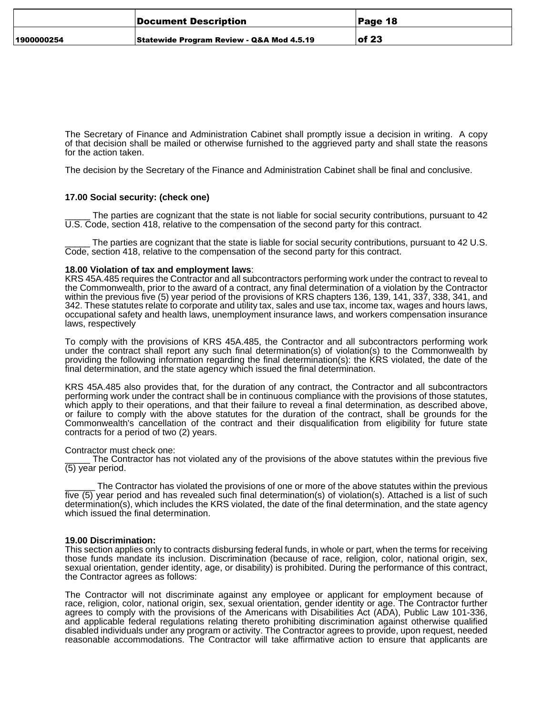|            | Document Description                      | ∣Page 18  |
|------------|-------------------------------------------|-----------|
| 1900000254 | Statewide Program Review - Q&A Mod 4.5.19 | $ $ of 23 |

The Secretary of Finance and Administration Cabinet shall promptly issue a decision in writing. A copy of that decision shall be mailed or otherwise furnished to the aggrieved party and shall state the reasons for the action taken.

The decision by the Secretary of the Finance and Administration Cabinet shall be final and conclusive.

#### **17.00 Social security: (check one)**

The parties are cognizant that the state is not liable for social security contributions, pursuant to 42 U.S. Code, section 418, relative to the compensation of the second party for this contract.

The parties are cognizant that the state is liable for social security contributions, pursuant to 42 U.S. Code, section 418, relative to the compensation of the second party for this contract.

#### **18.00 Violation of tax and employment laws**:

KRS 45A.485 requires the Contractor and all subcontractors performing work under the contract to reveal to the Commonwealth, prior to the award of a contract, any final determination of a violation by the Contractor within the previous five (5) year period of the provisions of KRS chapters 136, 139, 141, 337, 338, 341, and 342. These statutes relate to corporate and utility tax, sales and use tax, income tax, wages and hours laws, occupational safety and health laws, unemployment insurance laws, and workers compensation insurance laws, respectively

To comply with the provisions of KRS 45A.485, the Contractor and all subcontractors performing work under the contract shall report any such final determination(s) of violation(s) to the Commonwealth by providing the following information regarding the final determination(s): the KRS violated, the date of the final determination, and the state agency which issued the final determination.

KRS 45A.485 also provides that, for the duration of any contract, the Contractor and all subcontractors performing work under the contract shall be in continuous compliance with the provisions of those statutes, which apply to their operations, and that their failure to reveal a final determination, as described above, or failure to comply with the above statutes for the duration of the contract, shall be grounds for the Commonwealth's cancellation of the contract and their disqualification from eligibility for future state contracts for a period of two (2) years.

Contractor must check one:

The Contractor has not violated any of the provisions of the above statutes within the previous five (5) year period.

The Contractor has violated the provisions of one or more of the above statutes within the previous five (5) year period and has revealed such final determination(s) of violation(s). Attached is a list of such determination(s), which includes the KRS violated, the date of the final determination, and the state agency which issued the final determination.

#### **19.00 Discrimination:**

This section applies only to contracts disbursing federal funds, in whole or part, when the terms for receiving those funds mandate its inclusion. Discrimination (because of race, religion, color, national origin, sex, sexual orientation, gender identity, age, or disability) is prohibited. During the performance of this contract, the Contractor agrees as follows:

The Contractor will not discriminate against any employee or applicant for employment because of race, religion, color, national origin, sex, sexual orientation, gender identity or age. The Contractor further agrees to comply with the provisions of the Americans with Disabilities Act (ADA), Public Law 101-336, and applicable federal regulations relating thereto prohibiting discrimination against otherwise qualified disabled individuals under any program or activity. The Contractor agrees to provide, upon request, needed reasonable accommodations. The Contractor will take affirmative action to ensure that applicants are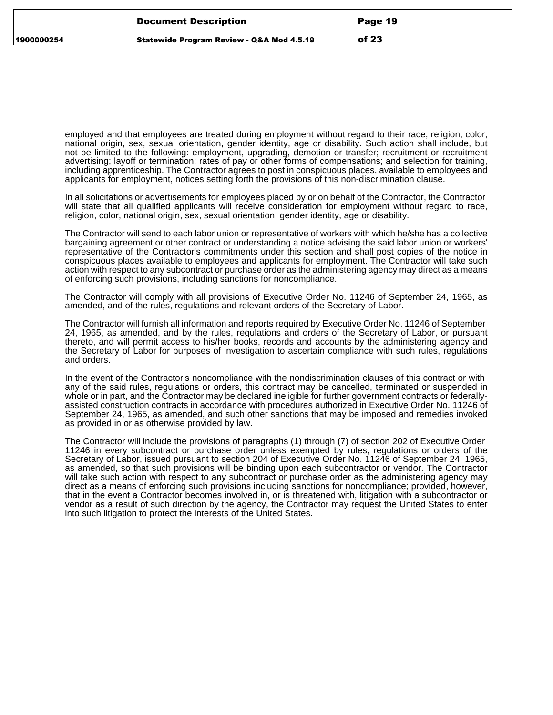|            | Document Description                      | Page 19   |
|------------|-------------------------------------------|-----------|
| 1900000254 | Statewide Program Review - Q&A Mod 4.5.19 | $ $ of 23 |

employed and that employees are treated during employment without regard to their race, religion, color, national origin, sex, sexual orientation, gender identity, age or disability. Such action shall include, but not be limited to the following: employment, upgrading, demotion or transfer; recruitment or recruitment advertising; layoff or termination; rates of pay or other forms of compensations; and selection for training, including apprenticeship. The Contractor agrees to post in conspicuous places, available to employees and applicants for employment, notices setting forth the provisions of this non-discrimination clause.

In all solicitations or advertisements for employees placed by or on behalf of the Contractor, the Contractor will state that all qualified applicants will receive consideration for employment without regard to race, religion, color, national origin, sex, sexual orientation, gender identity, age or disability.

The Contractor will send to each labor union or representative of workers with which he/she has a collective bargaining agreement or other contract or understanding a notice advising the said labor union or workers' representative of the Contractor's commitments under this section and shall post copies of the notice in conspicuous places available to employees and applicants for employment. The Contractor will take such action with respect to any subcontract or purchase order as the administering agency may direct as a means of enforcing such provisions, including sanctions for noncompliance.

The Contractor will comply with all provisions of Executive Order No. 11246 of September 24, 1965, as amended, and of the rules, regulations and relevant orders of the Secretary of Labor.

The Contractor will furnish all information and reports required by Executive Order No. 11246 of September 24, 1965, as amended, and by the rules, regulations and orders of the Secretary of Labor, or pursuant thereto, and will permit access to his/her books, records and accounts by the administering agency and the Secretary of Labor for purposes of investigation to ascertain compliance with such rules, regulations and orders.

In the event of the Contractor's noncompliance with the nondiscrimination clauses of this contract or with any of the said rules, regulations or orders, this contract may be cancelled, terminated or suspended in whole or in part, and the Contractor may be declared ineligible for further government contracts or federallyassisted construction contracts in accordance with procedures authorized in Executive Order No. 11246 of September 24, 1965, as amended, and such other sanctions that may be imposed and remedies invoked as provided in or as otherwise provided by law.

The Contractor will include the provisions of paragraphs (1) through (7) of section 202 of Executive Order 11246 in every subcontract or purchase order unless exempted by rules, regulations or orders of the Secretary of Labor, issued pursuant to section 204 of Executive Order No. 11246 of September 24, 1965, as amended, so that such provisions will be binding upon each subcontractor or vendor. The Contractor will take such action with respect to any subcontract or purchase order as the administering agency may direct as a means of enforcing such provisions including sanctions for noncompliance; provided, however, that in the event a Contractor becomes involved in, or is threatened with, litigation with a subcontractor or vendor as a result of such direction by the agency, the Contractor may request the United States to enter into such litigation to protect the interests of the United States.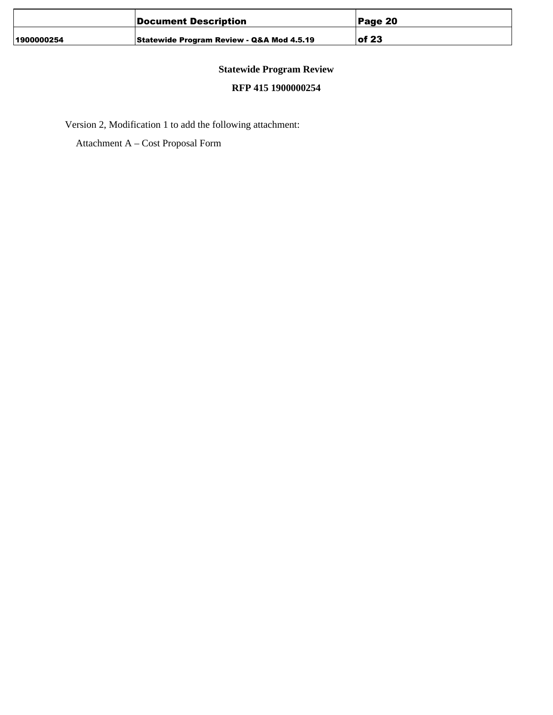|            | Document Description                      | Page 20   |
|------------|-------------------------------------------|-----------|
| 1900000254 | Statewide Program Review - Q&A Mod 4.5.19 | $ $ of 23 |

## **Statewide Program Review**

## **RFP 415 1900000254**

Version 2, Modification 1 to add the following attachment:

Attachment A – Cost Proposal Form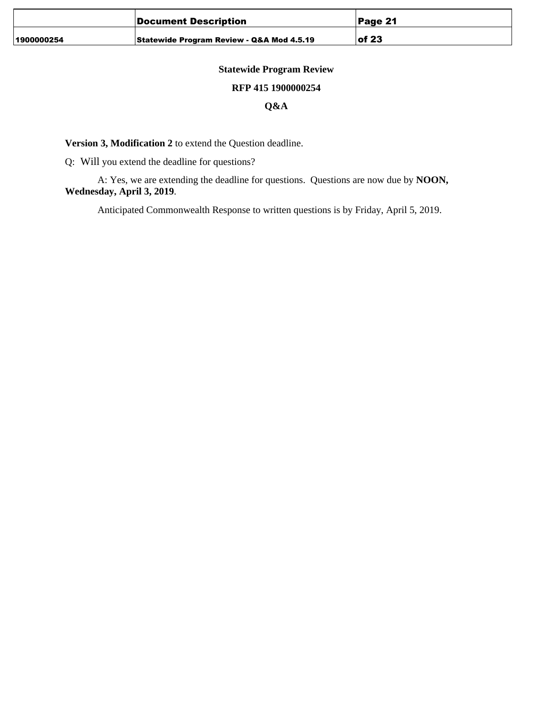|            | Document Description                      | Page 21   |
|------------|-------------------------------------------|-----------|
| 1900000254 | Statewide Program Review - Q&A Mod 4.5.19 | $ $ of 23 |

## **Statewide Program Review**

## **RFP 415 1900000254**

## **Q&A**

**Version 3, Modification 2** to extend the Question deadline.

Q: Will you extend the deadline for questions?

A: Yes, we are extending the deadline for questions. Questions are now due by **NOON, Wednesday, April 3, 2019**.

Anticipated Commonwealth Response to written questions is by Friday, April 5, 2019.